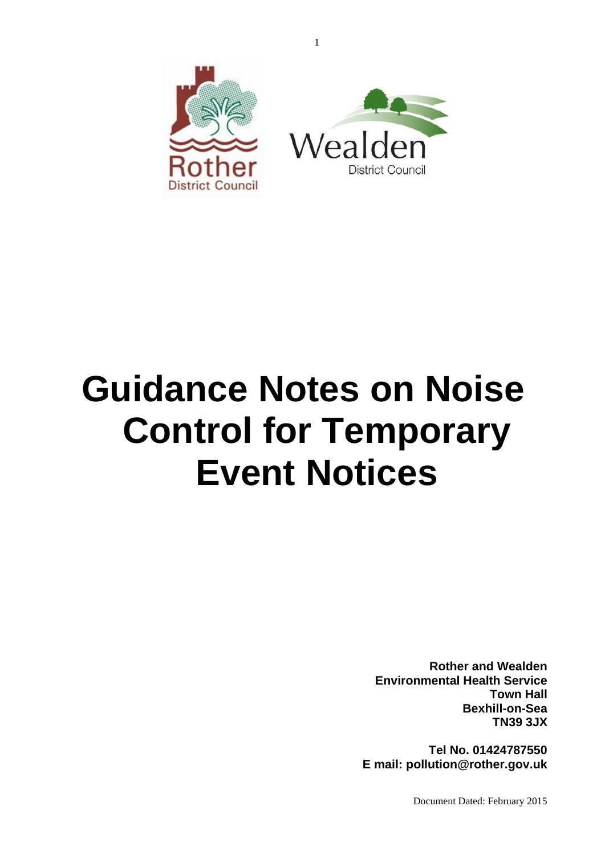

# **Guidance Notes on Noise Control for Temporary Event Notices**

**Rother and Wealden Environmental Health Service Town Hall Bexhill-on-Sea TN39 3JX**

**Tel No. 01424787550 E mail: pollution@rother.gov.uk**

Document Dated: February 2015

1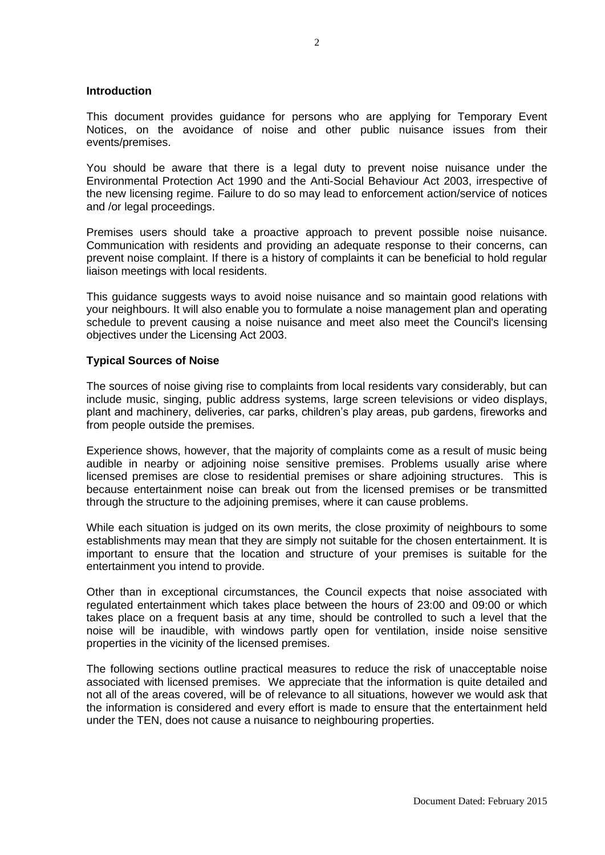## **Introduction**

This document provides guidance for persons who are applying for Temporary Event Notices, on the avoidance of noise and other public nuisance issues from their events/premises.

You should be aware that there is a legal duty to prevent noise nuisance under the Environmental Protection Act 1990 and the Anti-Social Behaviour Act 2003, irrespective of the new licensing regime. Failure to do so may lead to enforcement action/service of notices and /or legal proceedings.

Premises users should take a proactive approach to prevent possible noise nuisance. Communication with residents and providing an adequate response to their concerns, can prevent noise complaint. If there is a history of complaints it can be beneficial to hold regular liaison meetings with local residents.

This guidance suggests ways to avoid noise nuisance and so maintain good relations with your neighbours. It will also enable you to formulate a noise management plan and operating schedule to prevent causing a noise nuisance and meet also meet the Council's licensing objectives under the Licensing Act 2003.

## **Typical Sources of Noise**

The sources of noise giving rise to complaints from local residents vary considerably, but can include music, singing, public address systems, large screen televisions or video displays, plant and machinery, deliveries, car parks, children's play areas, pub gardens, fireworks and from people outside the premises.

Experience shows, however, that the majority of complaints come as a result of music being audible in nearby or adjoining noise sensitive premises. Problems usually arise where licensed premises are close to residential premises or share adjoining structures. This is because entertainment noise can break out from the licensed premises or be transmitted through the structure to the adjoining premises, where it can cause problems.

While each situation is judged on its own merits, the close proximity of neighbours to some establishments may mean that they are simply not suitable for the chosen entertainment. It is important to ensure that the location and structure of your premises is suitable for the entertainment you intend to provide.

Other than in exceptional circumstances, the Council expects that noise associated with regulated entertainment which takes place between the hours of 23:00 and 09:00 or which takes place on a frequent basis at any time, should be controlled to such a level that the noise will be inaudible, with windows partly open for ventilation, inside noise sensitive properties in the vicinity of the licensed premises.

The following sections outline practical measures to reduce the risk of unacceptable noise associated with licensed premises. We appreciate that the information is quite detailed and not all of the areas covered, will be of relevance to all situations, however we would ask that the information is considered and every effort is made to ensure that the entertainment held under the TEN, does not cause a nuisance to neighbouring properties.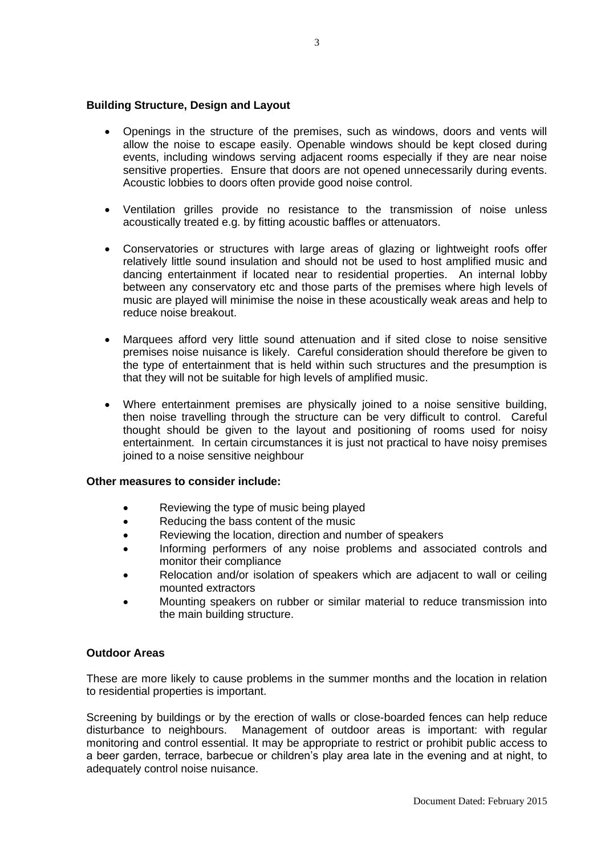## **Building Structure, Design and Layout**

- Openings in the structure of the premises, such as windows, doors and vents will allow the noise to escape easily. Openable windows should be kept closed during events, including windows serving adjacent rooms especially if they are near noise sensitive properties. Ensure that doors are not opened unnecessarily during events. Acoustic lobbies to doors often provide good noise control.
- Ventilation grilles provide no resistance to the transmission of noise unless acoustically treated e.g. by fitting acoustic baffles or attenuators.
- Conservatories or structures with large areas of glazing or lightweight roofs offer relatively little sound insulation and should not be used to host amplified music and dancing entertainment if located near to residential properties. An internal lobby between any conservatory etc and those parts of the premises where high levels of music are played will minimise the noise in these acoustically weak areas and help to reduce noise breakout.
- Marquees afford very little sound attenuation and if sited close to noise sensitive premises noise nuisance is likely. Careful consideration should therefore be given to the type of entertainment that is held within such structures and the presumption is that they will not be suitable for high levels of amplified music.
- Where entertainment premises are physically joined to a noise sensitive building, then noise travelling through the structure can be very difficult to control. Careful thought should be given to the layout and positioning of rooms used for noisy entertainment. In certain circumstances it is just not practical to have noisy premises joined to a noise sensitive neighbour

### **Other measures to consider include:**

- Reviewing the type of music being played
- Reducing the bass content of the music
- Reviewing the location, direction and number of speakers
- Informing performers of any noise problems and associated controls and monitor their compliance
- Relocation and/or isolation of speakers which are adjacent to wall or ceiling mounted extractors
- Mounting speakers on rubber or similar material to reduce transmission into the main building structure.

# **Outdoor Areas**

These are more likely to cause problems in the summer months and the location in relation to residential properties is important.

Screening by buildings or by the erection of walls or close-boarded fences can help reduce disturbance to neighbours. Management of outdoor areas is important: with regular monitoring and control essential. It may be appropriate to restrict or prohibit public access to a beer garden, terrace, barbecue or children's play area late in the evening and at night, to adequately control noise nuisance.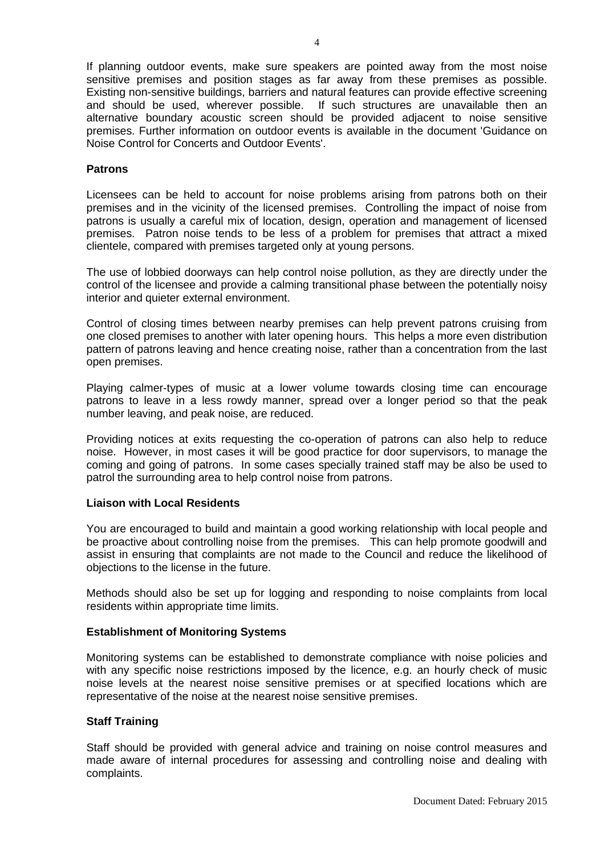If planning outdoor events, make sure speakers are pointed away from the most noise sensitive premises and position stages as far away from these premises as possible. Existing non-sensitive buildings, barriers and natural features can provide effective screening and should be used, wherever possible. If such structures are unavailable then an alternative boundary acoustic screen should be provided adjacent to noise sensitive premises. Further information on outdoor events is available in the document 'Guidance on Noise Control for Concerts and Outdoor Events'.

## **Patrons**

Licensees can be held to account for noise problems arising from patrons both on their premises and in the vicinity of the licensed premises. Controlling the impact of noise from patrons is usually a careful mix of location, design, operation and management of licensed premises. Patron noise tends to be less of a problem for premises that attract a mixed clientele, compared with premises targeted only at young persons.

The use of lobbied doorways can help control noise pollution, as they are directly under the control of the licensee and provide a calming transitional phase between the potentially noisy interior and quieter external environment.

Control of closing times between nearby premises can help prevent patrons cruising from one closed premises to another with later opening hours. This helps a more even distribution pattern of patrons leaving and hence creating noise, rather than a concentration from the last open premises.

Playing calmer-types of music at a lower volume towards closing time can encourage patrons to leave in a less rowdy manner, spread over a longer period so that the peak number leaving, and peak noise, are reduced.

Providing notices at exits requesting the co-operation of patrons can also help to reduce noise. However, in most cases it will be good practice for door supervisors, to manage the coming and going of patrons. In some cases specially trained staff may be also be used to patrol the surrounding area to help control noise from patrons.

### **Liaison with Local Residents**

You are encouraged to build and maintain a good working relationship with local people and be proactive about controlling noise from the premises. This can help promote goodwill and assist in ensuring that complaints are not made to the Council and reduce the likelihood of objections to the license in the future.

Methods should also be set up for logging and responding to noise complaints from local residents within appropriate time limits.

# **Establishment of Monitoring Systems**

Monitoring systems can be established to demonstrate compliance with noise policies and with any specific noise restrictions imposed by the licence, e.g. an hourly check of music noise levels at the nearest noise sensitive premises or at specified locations which are representative of the noise at the nearest noise sensitive premises.

# **Staff Training**

Staff should be provided with general advice and training on noise control measures and made aware of internal procedures for assessing and controlling noise and dealing with complaints.